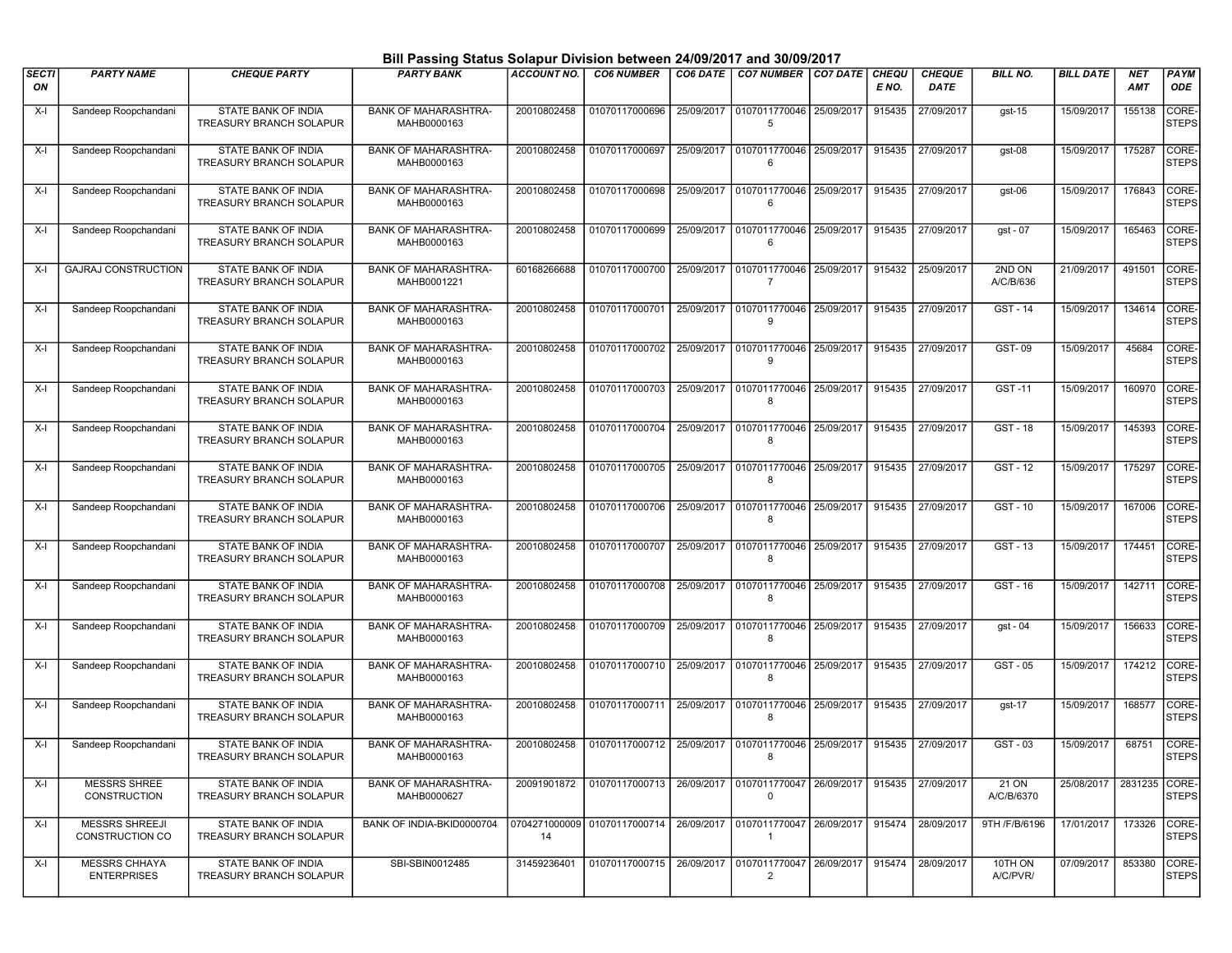## Bill Passing Status Solapur Division between 24/09/2017 and 30/09/2017

| <b>SECTI</b><br>ON | <b>PARTY NAME</b>                        | <b>CHEQUE PARTY</b>                                   | <b>PARTY BANK</b>                          | ACCOUNT NO. | <b>CO6 NUMBER</b>            | <b>CO6 DATE</b> | <b>CO7 NUMBER</b>                                   | CO7 DATE   | <b>CHEQU</b><br>E NO. | <b>CHEQUE</b><br>DATE | <b>BILL NO.</b>     | <b>BILL DATE</b> | <b>NET</b><br><b>AMT</b> | PAYM<br><b>ODE</b>    |
|--------------------|------------------------------------------|-------------------------------------------------------|--------------------------------------------|-------------|------------------------------|-----------------|-----------------------------------------------------|------------|-----------------------|-----------------------|---------------------|------------------|--------------------------|-----------------------|
| $X-I$              | Sandeep Roopchandani                     | STATE BANK OF INDIA<br>TREASURY BRANCH SOLAPUR        | <b>BANK OF MAHARASHTRA-</b><br>MAHB0000163 | 20010802458 | 01070117000696               |                 | 25/09/2017   0107011770046   25/09/2017<br>5        |            | 915435                | 27/09/2017            | $gst-15$            | 15/09/2017       | 155138                   | CORE-<br><b>STEPS</b> |
| $X-I$              | Sandeep Roopchandani                     | <b>STATE BANK OF INDIA</b><br>TREASURY BRANCH SOLAPUR | <b>BANK OF MAHARASHTRA-</b><br>MAHB0000163 | 20010802458 | 01070117000697               | 25/09/2017      | 0107011770046<br>6                                  | 25/09/2017 | 915435                | 27/09/2017            | gst-08              | 15/09/2017       | 175287                   | CORE-<br><b>STEPS</b> |
| $X-I$              | Sandeep Roopchandani                     | STATE BANK OF INDIA<br>TREASURY BRANCH SOLAPUR        | <b>BANK OF MAHARASHTRA-</b><br>MAHB0000163 | 20010802458 | 01070117000698               | 25/09/2017      | 0107011770046<br>6                                  | 25/09/2017 | 915435                | 27/09/2017            | $gst-06$            | 15/09/2017       | 176843                   | CORE-<br><b>STEPS</b> |
| $X-I$              | Sandeep Roopchandani                     | STATE BANK OF INDIA<br><b>TREASURY BRANCH SOLAPUR</b> | <b>BANK OF MAHARASHTRA-</b><br>MAHB0000163 | 20010802458 | 01070117000699               |                 | 25/09/2017 0107011770046 25/09/2017<br>6            |            | 915435                | 27/09/2017            | gst - 07            | 15/09/2017       | 165463                   | CORE-<br><b>STEPS</b> |
| $X-I$              | <b>GAJRAJ CONSTRUCTION</b>               | STATE BANK OF INDIA<br><b>TREASURY BRANCH SOLAPUR</b> | <b>BANK OF MAHARASHTRA-</b><br>MAHB0001221 | 60168266688 | 01070117000700               |                 | 25/09/2017   0107011770046   25/09/2017<br>7        |            | 915432                | 25/09/2017            | 2ND ON<br>A/C/B/636 | 21/09/2017       | 491501                   | CORE-<br><b>STEPS</b> |
| $X-I$              | Sandeep Roopchandani                     | STATE BANK OF INDIA<br>TREASURY BRANCH SOLAPUR        | <b>BANK OF MAHARASHTRA-</b><br>MAHB0000163 | 20010802458 | 01070117000701               |                 | 25/09/2017 0107011770046 25/09/2017<br>9            |            | 915435                | 27/09/2017            | GST - 14            | 15/09/2017       | 134614                   | CORE-<br><b>STEPS</b> |
| $X-I$              | Sandeep Roopchandani                     | STATE BANK OF INDIA<br>TREASURY BRANCH SOLAPUR        | <b>BANK OF MAHARASHTRA-</b><br>MAHB0000163 | 20010802458 | 01070117000702               | 25/09/2017      | 0107011770046<br>9                                  | 25/09/2017 | 915435                | 27/09/2017            | GST-09              | 15/09/2017       | 45684                    | CORE-<br><b>STEPS</b> |
| $X-I$              | Sandeep Roopchandani                     | STATE BANK OF INDIA<br>TREASURY BRANCH SOLAPUR        | <b>BANK OF MAHARASHTRA-</b><br>MAHB0000163 | 20010802458 | 01070117000703               |                 | 25/09/2017 0107011770046<br>8                       | 25/09/2017 | 915435                | 27/09/2017            | GST-11              | 15/09/2017       | 160970                   | CORE-<br><b>STEPS</b> |
| $X-I$              | Sandeep Roopchandani                     | STATE BANK OF INDIA<br>TREASURY BRANCH SOLAPUR        | <b>BANK OF MAHARASHTRA-</b><br>MAHB0000163 | 20010802458 | 01070117000704               |                 | 25/09/2017 0107011770046<br>8                       | 25/09/2017 | 915435                | 27/09/2017            | GST - 18            | 15/09/2017       | 145393                   | CORE-<br><b>STEPS</b> |
| $X-I$              | Sandeep Roopchandani                     | <b>STATE BANK OF INDIA</b><br>TREASURY BRANCH SOLAPUR | <b>BANK OF MAHARASHTRA-</b><br>MAHB0000163 | 20010802458 | 01070117000705               |                 | 25/09/2017 0107011770046<br>8                       | 25/09/2017 | 915435                | 27/09/2017            | GST - 12            | 15/09/2017       | 175297                   | CORE-<br><b>STEPS</b> |
| $X-I$              | Sandeep Roopchandani                     | STATE BANK OF INDIA<br>TREASURY BRANCH SOLAPUR        | <b>BANK OF MAHARASHTRA-</b><br>MAHB0000163 | 20010802458 | 01070117000706               |                 | 25/09/2017 0107011770046<br>8                       | 25/09/2017 | 915435                | 27/09/2017            | GST - 10            | 15/09/2017       | 167006                   | CORE-<br><b>STEPS</b> |
| $X-I$              | Sandeep Roopchandani                     | STATE BANK OF INDIA<br>TREASURY BRANCH SOLAPUR        | <b>BANK OF MAHARASHTRA-</b><br>MAHB0000163 | 20010802458 | 01070117000707               |                 | 25/09/2017   0107011770046   25/09/2017<br>8        |            | 915435                | 27/09/2017            | $GST - 13$          | 15/09/2017       | 174451                   | CORE-<br><b>STEPS</b> |
| X-I                | Sandeep Roopchandani                     | STATE BANK OF INDIA<br>TREASURY BRANCH SOLAPUR        | <b>BANK OF MAHARASHTRA-</b><br>MAHB0000163 | 20010802458 | 01070117000708               |                 | 25/09/2017   0107011770046   25/09/2017<br>8        |            | 915435                | 27/09/2017            | GST-16              | 15/09/2017       | 142711                   | CORE-<br><b>STEPS</b> |
| $X-I$              | Sandeep Roopchandani                     | STATE BANK OF INDIA<br>TREASURY BRANCH SOLAPUR        | <b>BANK OF MAHARASHTRA-</b><br>MAHB0000163 | 20010802458 | 01070117000709               |                 | 25/09/2017   0107011770046   25/09/2017<br>8        |            | 915435                | 27/09/2017            | gst - 04            | 15/09/2017       | 156633                   | CORE-<br><b>STEPS</b> |
| X-I                | Sandeep Roopchandani                     | STATE BANK OF INDIA<br>TREASURY BRANCH SOLAPUR        | <b>BANK OF MAHARASHTRA-</b><br>MAHB0000163 | 20010802458 | 01070117000710               |                 | 25/09/2017   0107011770046   25/09/2017<br>8        |            | 915435                | 27/09/2017            | GST - 05            | 15/09/2017       | 174212                   | CORE-<br><b>STEPS</b> |
| $X-I$              | Sandeep Roopchandani                     | STATE BANK OF INDIA<br>TREASURY BRANCH SOLAPUR        | <b>BANK OF MAHARASHTRA-</b><br>MAHB0000163 | 20010802458 | 01070117000711               |                 | 25/09/2017   0107011770046   25/09/2017<br>8        |            | 915435                | 27/09/2017            | $gst-17$            | 15/09/2017       | 168577                   | CORE-<br><b>STEPS</b> |
| X-I                | Sandeep Roopchandani                     | STATE BANK OF INDIA<br>TREASURY BRANCH SOLAPUR        | <b>BANK OF MAHARASHTRA-</b><br>MAHB0000163 | 20010802458 | 01070117000712               |                 | 25/09/2017 0107011770046 25/09/2017<br>8            |            | 915435                | 27/09/2017            | GST - 03            | 15/09/2017       | 68751                    | CORE-<br><b>STEPS</b> |
| X-I                | <b>MESSRS SHREE</b><br>CONSTRUCTION      | STATE BANK OF INDIA<br>TREASURY BRANCH SOLAPUR        | <b>BANK OF MAHARASHTRA-</b><br>MAHB0000627 | 20091901872 | 01070117000713               |                 | 26/09/2017   0107011770047   26/09/2017<br>0        |            | 915435                | 27/09/2017            | 21 ON<br>A/C/B/6370 | 25/08/2017       | 2831235 CORE-            | <b>STEPS</b>          |
| X-I                | <b>MESSRS SHREEJI</b><br>CONSTRUCTION CO | STATE BANK OF INDIA<br>TREASURY BRANCH SOLAPUR        | BANK OF INDIA-BKID0000704                  | 14          | 0704271000009 01070117000714 |                 | 26/09/2017 0107011770047 26/09/2017<br>$\mathbf{1}$ |            | 915474                | 28/09/2017            | 9TH /F/B/6196       | 17/01/2017       | 173326                   | CORE-<br><b>STEPS</b> |
| $X-I$              | MESSRS CHHAYA<br><b>ENTERPRISES</b>      | STATE BANK OF INDIA<br>TREASURY BRANCH SOLAPUR        | SBI-SBIN0012485                            | 31459236401 | 01070117000715               |                 | 26/09/2017 0107011770047 26/09/2017<br>2            |            |                       | 915474 28/09/2017     | 10TH ON<br>A/C/PVR/ | 07/09/2017       | 853380                   | CORE-<br><b>STEPS</b> |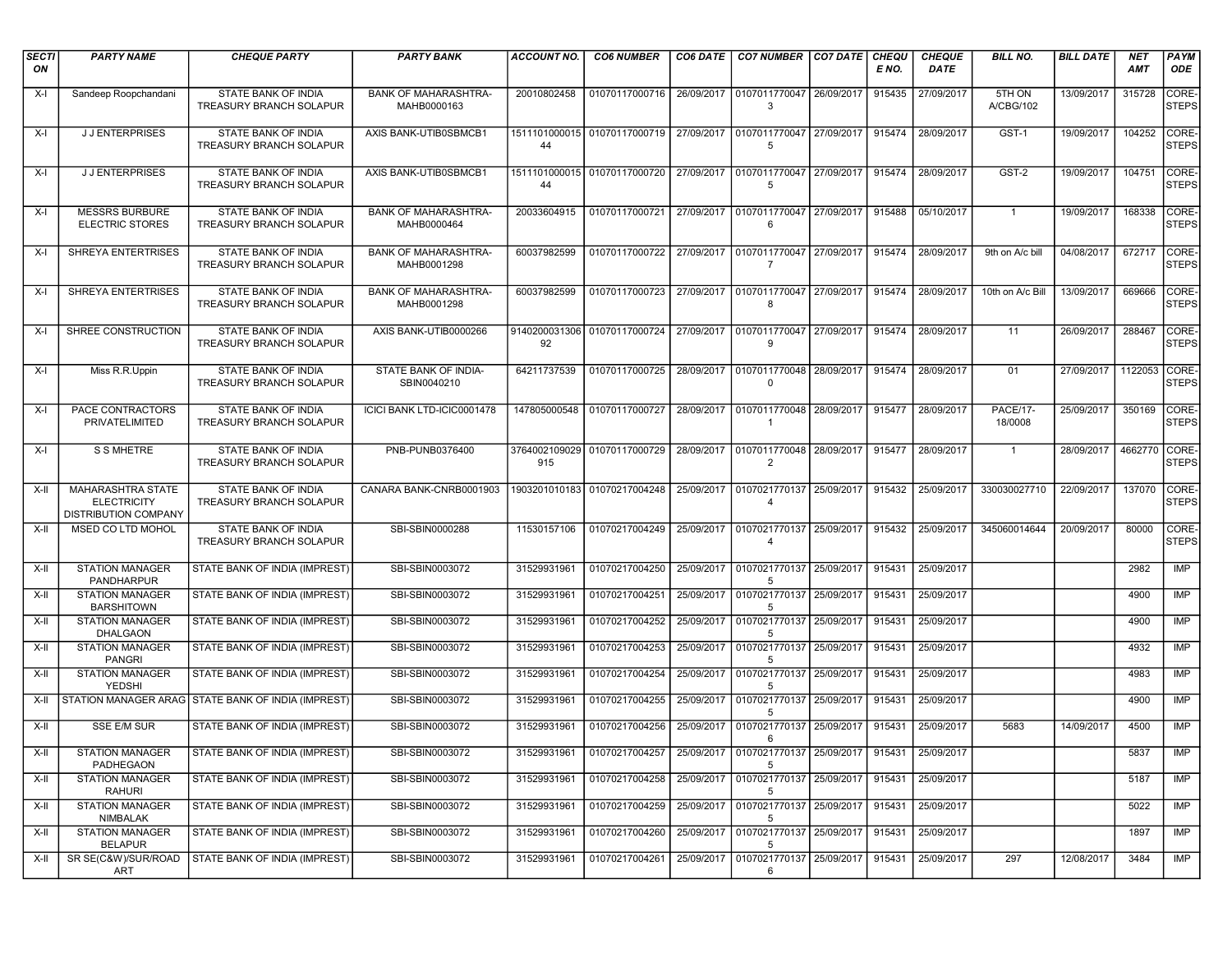| <b>SECTI</b><br>ON | <b>PARTY NAME</b>                                                      | <b>CHEQUE PARTY</b>                                   | <b>PARTY BANK</b>                          | <b>ACCOUNT NO.</b> | <b>CO6 NUMBER</b>                                                | <b>CO6 DATE</b> | <b>CO7 NUMBER CO7 DATE</b>                                | <b>CHEQU</b><br>E NO. | <b>CHEQUE</b><br><b>DATE</b> | <b>BILL NO.</b>            | <b>BILL DATE</b> | <b>NET</b><br><b>AMT</b> | PAYM<br><b>ODE</b>    |
|--------------------|------------------------------------------------------------------------|-------------------------------------------------------|--------------------------------------------|--------------------|------------------------------------------------------------------|-----------------|-----------------------------------------------------------|-----------------------|------------------------------|----------------------------|------------------|--------------------------|-----------------------|
| $X-I$              | Sandeep Roopchandani                                                   | STATE BANK OF INDIA<br>TREASURY BRANCH SOLAPUR        | <b>BANK OF MAHARASHTRA-</b><br>MAHB0000163 | 20010802458        | 01070117000716                                                   |                 | 26/09/2017   0107011770047   26/09/2017<br>3              | 915435                | 27/09/2017                   | 5TH ON<br>A/CBG/102        | 13/09/2017       | 315728                   | CORE-<br><b>STEPS</b> |
| X-I                | <b>JJENTERPRISES</b>                                                   | STATE BANK OF INDIA<br>TREASURY BRANCH SOLAPUR        | AXIS BANK-UTIB0SBMCB1                      | 44                 | 1511101000015 01070117000719 27/09/2017 0107011770047 27/09/2017 |                 | 5                                                         | 915474                | 28/09/2017                   | GST-1                      | 19/09/2017       | 104252                   | CORE-<br><b>STEPS</b> |
| $X-I$              | <b>JJENTERPRISES</b>                                                   | STATE BANK OF INDIA<br>TREASURY BRANCH SOLAPUR        | AXIS BANK-UTIB0SBMCB1                      | 44                 | 1511101000015 01070117000720                                     |                 | 27/09/2017   0107011770047   27/09/2017<br>5              | 915474                | 28/09/2017                   | GST-2                      | 19/09/2017       | 104751                   | CORE-<br><b>STEPS</b> |
| X-I                | <b>MESSRS BURBURE</b><br><b>ELECTRIC STORES</b>                        | STATE BANK OF INDIA<br>TREASURY BRANCH SOLAPUR        | <b>BANK OF MAHARASHTRA-</b><br>MAHB0000464 | 20033604915        | 01070117000721                                                   |                 | 27/09/2017 0107011770047 27/09/2017<br>6                  | 915488                | 05/10/2017                   | $\overline{1}$             | 19/09/2017       | 168338                   | CORE-<br><b>STEPS</b> |
| $X-I$              | <b>SHREYA ENTERTRISES</b>                                              | STATE BANK OF INDIA<br>TREASURY BRANCH SOLAPUR        | <b>BANK OF MAHARASHTRA-</b><br>MAHB0001298 | 60037982599        | 01070117000722                                                   |                 | 27/09/2017   0107011770047   27/09/2017<br>7              | 915474                | 28/09/2017                   | 9th on A/c bill            | 04/08/2017       | 672717                   | CORE-<br><b>STEPS</b> |
| X-I                | SHREYA ENTERTRISES                                                     | STATE BANK OF INDIA<br>TREASURY BRANCH SOLAPUR        | <b>BANK OF MAHARASHTRA-</b><br>MAHB0001298 | 60037982599        | 01070117000723                                                   |                 | 27/09/2017 0107011770047 27/09/2017<br>8                  | 915474                | 28/09/2017                   | 10th on A/c Bill           | 13/09/2017       | 669666                   | CORE-<br><b>STEPS</b> |
| $X-I$              | SHREE CONSTRUCTION                                                     | STATE BANK OF INDIA<br>TREASURY BRANCH SOLAPUR        | AXIS BANK-UTIB0000266                      | 92                 | 9140200031306 01070117000724                                     |                 | 27/09/2017 0107011770047 27/09/2017<br>9                  | 915474                | 28/09/2017                   | 11                         | 26/09/2017       | 288467                   | CORE-<br><b>STEPS</b> |
| X-I                | Miss R.R.Uppin                                                         | STATE BANK OF INDIA<br>TREASURY BRANCH SOLAPUR        | STATE BANK OF INDIA-<br>SBIN0040210        | 64211737539        | 01070117000725                                                   |                 | 28/09/2017 0107011770048 28/09/2017<br>0                  | 915474                | 28/09/2017                   | 01                         | 27/09/2017       | 1122053                  | CORE-<br><b>STEPS</b> |
| $X-I$              | PACE CONTRACTORS<br>PRIVATELIMITED                                     | <b>STATE BANK OF INDIA</b><br>TREASURY BRANCH SOLAPUR | ICICI BANK LTD-ICIC0001478                 | 147805000548       | 01070117000727                                                   |                 | 28/09/2017 0107011770048 28/09/2017<br>$\overline{1}$     | 915477                | 28/09/2017                   | <b>PACE/17-</b><br>18/0008 | 25/09/2017       | 350169                   | CORE-<br><b>STEPS</b> |
| X-I                | S S MHETRE                                                             | STATE BANK OF INDIA<br>TREASURY BRANCH SOLAPUR        | PNB-PUNB0376400                            | 915                | 3764002109029 01070117000729                                     |                 | 28/09/2017 0107011770048 28/09/2017<br>$\overline{2}$     | 915477                | 28/09/2017                   | $\overline{1}$             | 28/09/2017       | 4662770 CORE-            | <b>STEPS</b>          |
| $X-H$              | <b>MAHARASHTRA STATE</b><br><b>ELECTRICITY</b><br>DISTRIBUTION COMPANY | <b>STATE BANK OF INDIA</b><br>TREASURY BRANCH SOLAPUR | CANARA BANK-CNRB0001903                    |                    | 1903201010183 01070217004248                                     |                 | 25/09/2017   0107021770137   25/09/2017<br>$\overline{4}$ | 915432                | 25/09/2017                   | 330030027710               | 22/09/2017       | 137070                   | CORE-<br><b>STEPS</b> |
| $X-H$              | MSED CO LTD MOHOL                                                      | <b>STATE BANK OF INDIA</b><br>TREASURY BRANCH SOLAPUR | SBI-SBIN0000288                            | 11530157106        | 01070217004249                                                   | 25/09/2017      | 0107021770137 25/09/2017<br>$\overline{4}$                | 915432                | 25/09/2017                   | 345060014644               | 20/09/2017       | 80000                    | CORE-<br><b>STEPS</b> |
| X-II               | <b>STATION MANAGER</b><br>PANDHARPUR                                   | STATE BANK OF INDIA (IMPREST)                         | SBI-SBIN0003072                            | 31529931961        | 01070217004250                                                   |                 | 25/09/2017 0107021770137 25/09/2017<br>5                  | 915431                | 25/09/2017                   |                            |                  | 2982                     | <b>IMP</b>            |
| X-II               | <b>STATION MANAGER</b><br><b>BARSHITOWN</b>                            | STATE BANK OF INDIA (IMPREST)                         | SBI-SBIN0003072                            | 31529931961        | 01070217004251                                                   | 25/09/2017      | 0107021770137 25/09/2017<br>5                             | 915431                | 25/09/2017                   |                            |                  | 4900                     | <b>IMP</b>            |
| X-II               | <b>STATION MANAGER</b><br><b>DHALGAON</b>                              | STATE BANK OF INDIA (IMPREST)                         | SBI-SBIN0003072                            | 31529931961        | 01070217004252                                                   |                 | 25/09/2017   0107021770137   25/09/2017<br>5              | 915431                | 25/09/2017                   |                            |                  | 4900                     | <b>IMP</b>            |
| X-II               | <b>STATION MANAGER</b><br><b>PANGRI</b>                                | STATE BANK OF INDIA (IMPREST)                         | SBI-SBIN0003072                            | 31529931961        | 01070217004253                                                   | 25/09/2017      | 0107021770137 25/09/2017<br>5                             | 915431                | 25/09/2017                   |                            |                  | 4932                     | <b>IMP</b>            |
| X-II               | <b>STATION MANAGER</b><br><b>YEDSHI</b>                                | STATE BANK OF INDIA (IMPREST)                         | SBI-SBIN0003072                            | 31529931961        | 01070217004254                                                   |                 | 25/09/2017 0107021770137 25/09/2017<br>5                  | 915431                | 25/09/2017                   |                            |                  | 4983                     | <b>IMP</b>            |
| X-II               |                                                                        | STATION MANAGER ARAG STATE BANK OF INDIA (IMPREST)    | SBI-SBIN0003072                            | 31529931961        | 01070217004255                                                   |                 | 25/09/2017 0107021770137 25/09/2017<br>5                  | 915431                | 25/09/2017                   |                            |                  | 4900                     | IMP                   |
| X-II               | SSE E/M SUR                                                            | STATE BANK OF INDIA (IMPREST)                         | SBI-SBIN0003072                            | 31529931961        | 01070217004256                                                   | 25/09/2017      | 0107021770137 25/09/2017<br>6                             | 915431                | 25/09/2017                   | 5683                       | 14/09/2017       | 4500                     | <b>IMP</b>            |
| $X-II$             | STATION MANAGER<br>PADHEGAON                                           | STATE BANK OF INDIA (IMPREST)                         | SBI-SBIN0003072                            | 31529931961        | 01070217004257                                                   |                 | 25/09/2017   0107021770137   25/09/2017   915431<br>5     |                       | 25/09/2017                   |                            |                  | 5837                     | IMP                   |
| X-II               | <b>STATION MANAGER</b><br><b>RAHURI</b>                                | STATE BANK OF INDIA (IMPREST)                         | SBI-SBIN0003072                            | 31529931961        | 01070217004258                                                   | 25/09/2017      | 0107021770137 25/09/2017<br>5                             | 915431                | 25/09/2017                   |                            |                  | 5187                     | <b>IMP</b>            |
| X-II               | <b>STATION MANAGER</b><br>NIMBALAK                                     | STATE BANK OF INDIA (IMPREST)                         | SBI-SBIN0003072                            | 31529931961        | 01070217004259                                                   |                 | 25/09/2017 0107021770137 25/09/2017<br>5                  | 915431                | 25/09/2017                   |                            |                  | 5022                     | <b>IMP</b>            |
| X-II               | STATION MANAGER<br><b>BELAPUR</b>                                      | STATE BANK OF INDIA (IMPREST)                         | SBI-SBIN0003072                            | 31529931961        | 01070217004260                                                   | 25/09/2017      | 0107021770137 25/09/2017<br>5                             | 915431                | 25/09/2017                   |                            |                  | 1897                     | IMP                   |
| X-II               | SR SE(C&W)/SUR/ROAD<br>ART                                             | STATE BANK OF INDIA (IMPREST)                         | SBI-SBIN0003072                            | 31529931961        | 01070217004261                                                   | 25/09/2017      | 0107021770137 25/09/2017<br>6                             | 915431                | 25/09/2017                   | 297                        | 12/08/2017       | 3484                     | <b>IMP</b>            |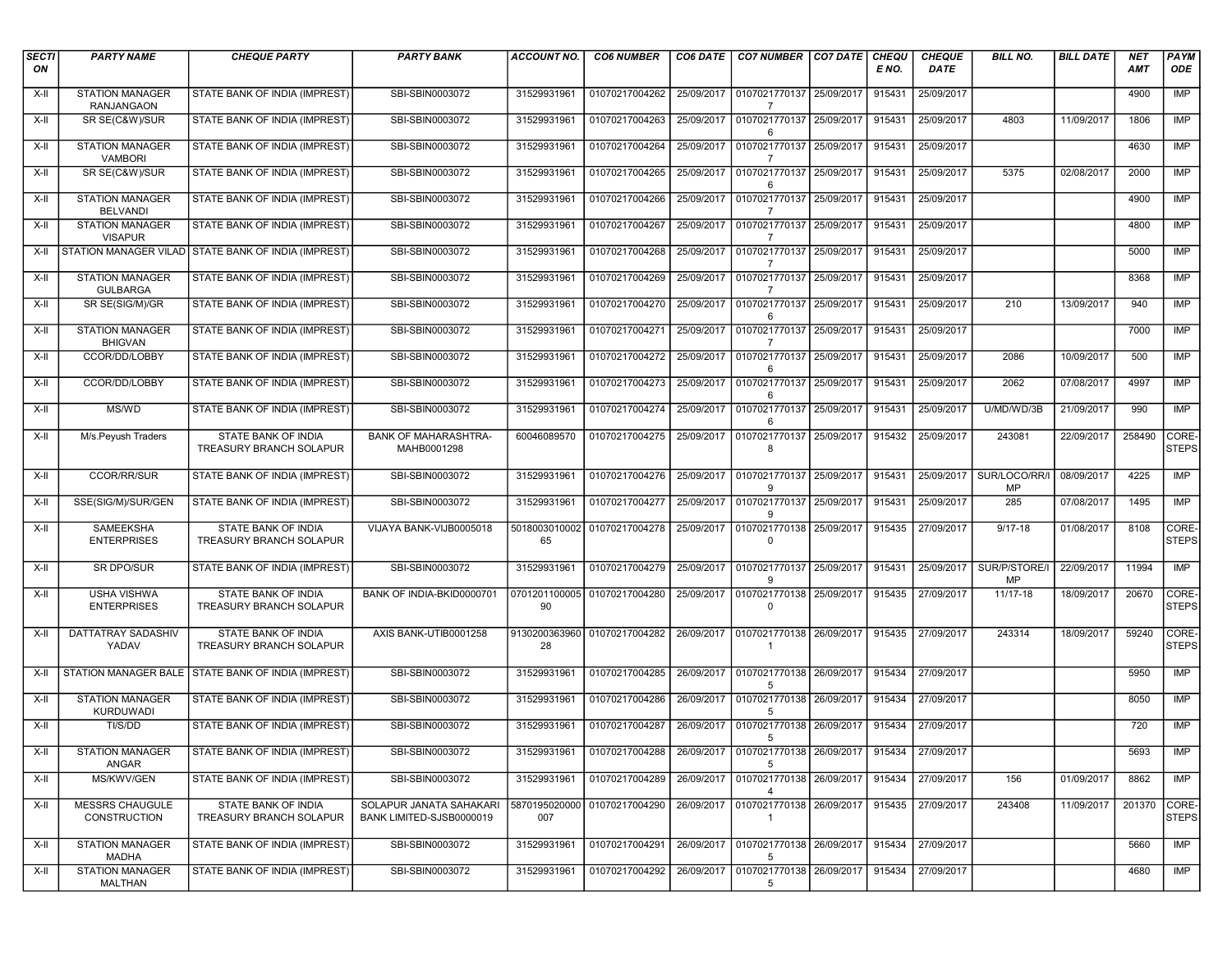| <b>SECTI</b><br>ON | <b>PARTY NAME</b>                         | <b>CHEQUE PARTY</b>                                   | <b>PARTY BANK</b>                                   | <b>ACCOUNT NO.</b>   | <b>CO6 NUMBER</b>                                                              | CO6 DATE   | <b>CO7 NUMBER CO7 DATE</b>                 |            | <b>CHEQU</b><br>E NO. | <b>CHEQUE</b><br>DATE | <b>BILL NO.</b>            | <b>BILL DATE</b> | <b>NET</b><br><b>AMT</b> | PAYM<br><b>ODE</b>    |
|--------------------|-------------------------------------------|-------------------------------------------------------|-----------------------------------------------------|----------------------|--------------------------------------------------------------------------------|------------|--------------------------------------------|------------|-----------------------|-----------------------|----------------------------|------------------|--------------------------|-----------------------|
| X-II               | <b>STATION MANAGER</b><br>RANJANGAON      | STATE BANK OF INDIA (IMPREST)                         | SBI-SBIN0003072                                     | 31529931961          | 01070217004262                                                                 | 25/09/2017 | 0107021770137 25/09/2017<br>7              |            | 915431                | 25/09/2017            |                            |                  | 4900                     | IMP                   |
| $X-H$              | SR SE(C&W)/SUR                            | STATE BANK OF INDIA (IMPREST)                         | SBI-SBIN0003072                                     | 31529931961          | 01070217004263                                                                 | 25/09/2017 | 0107021770137<br>6                         | 25/09/2017 | 915431                | 25/09/2017            | 4803                       | 11/09/2017       | 1806                     | <b>IMP</b>            |
| $X-H$              | <b>STATION MANAGER</b><br><b>VAMBORI</b>  | STATE BANK OF INDIA (IMPREST)                         | SBI-SBIN0003072                                     | 31529931961          | 01070217004264                                                                 | 25/09/2017 | 0107021770137 25/09/2017                   |            | 915431                | 25/09/2017            |                            |                  | 4630                     | <b>IMP</b>            |
| X-II               | SR SE(C&W)/SUR                            | STATE BANK OF INDIA (IMPREST)                         | SBI-SBIN0003072                                     | 31529931961          | 01070217004265                                                                 | 25/09/2017 | 0107021770137 25/09/2017<br>6              |            | 915431                | 25/09/2017            | 5375                       | 02/08/2017       | 2000                     | IMP                   |
| X-II               | <b>STATION MANAGER</b><br><b>BELVANDI</b> | STATE BANK OF INDIA (IMPREST)                         | SBI-SBIN0003072                                     | 31529931961          | 01070217004266                                                                 | 25/09/2017 | 0107021770137 25/09/2017<br>7              |            | 915431                | 25/09/2017            |                            |                  | 4900                     | IMP                   |
| X-II               | <b>STATION MANAGER</b><br><b>VISAPUR</b>  | STATE BANK OF INDIA (IMPREST)                         | SBI-SBIN0003072                                     | 31529931961          | 01070217004267                                                                 | 25/09/2017 | 0107021770137 25/09/2017<br>7              |            | 915431                | 25/09/2017            |                            |                  | 4800                     | IMP                   |
| X-II               |                                           | STATION MANAGER VILAD STATE BANK OF INDIA (IMPREST)   | SBI-SBIN0003072                                     | 31529931961          | 01070217004268                                                                 | 25/09/2017 | 0107021770137 25/09/2017<br>7              |            | 915431                | 25/09/2017            |                            |                  | 5000                     | IMP                   |
| X-II               | <b>STATION MANAGER</b><br><b>GULBARGA</b> | STATE BANK OF INDIA (IMPREST)                         | SBI-SBIN0003072                                     | 31529931961          | 01070217004269                                                                 | 25/09/2017 | 0107021770137 25/09/2017<br>$\overline{7}$ |            | 915431                | 25/09/2017            |                            |                  | 8368                     | <b>IMP</b>            |
| $X-H$              | SR SE(SIG/M)/GR                           | STATE BANK OF INDIA (IMPREST)                         | SBI-SBIN0003072                                     | 31529931961          | 01070217004270                                                                 | 25/09/2017 | 0107021770137 25/09/2017<br>6              |            | 915431                | 25/09/2017            | 210                        | 13/09/2017       | 940                      | IMP                   |
| X-II               | <b>STATION MANAGER</b><br><b>BHIGVAN</b>  | STATE BANK OF INDIA (IMPREST)                         | SBI-SBIN0003072                                     | 31529931961          | 01070217004271                                                                 | 25/09/2017 | 0107021770137                              | 25/09/2017 | 915431                | 25/09/2017            |                            |                  | 7000                     | <b>IMP</b>            |
| X-II               | CCOR/DD/LOBBY                             | STATE BANK OF INDIA (IMPREST)                         | SBI-SBIN0003072                                     | 31529931961          | 01070217004272                                                                 | 25/09/2017 | 0107021770137 25/09/2017<br>6              |            | 915431                | 25/09/2017            | 2086                       | 10/09/2017       | 500                      | IMP                   |
| X-II               | CCOR/DD/LOBBY                             | STATE BANK OF INDIA (IMPREST)                         | SBI-SBIN0003072                                     | 31529931961          | 01070217004273                                                                 | 25/09/2017 | 0107021770137 25/09/2017<br>6              |            | 915431                | 25/09/2017            | 2062                       | 07/08/2017       | 4997                     | IMP                   |
| X-II               | MS/WD                                     | STATE BANK OF INDIA (IMPREST)                         | SBI-SBIN0003072                                     | 31529931961          | 01070217004274                                                                 | 25/09/2017 | 0107021770137 25/09/2017<br>6              |            | 915431                | 25/09/2017            | U/MD/WD/3B                 | 21/09/2017       | 990                      | IMP                   |
| X-II               | M/s.Peyush Traders                        | STATE BANK OF INDIA<br><b>TREASURY BRANCH SOLAPUR</b> | <b>BANK OF MAHARASHTRA-</b><br>MAHB0001298          | 60046089570          | 01070217004275                                                                 | 25/09/2017 | 0107021770137 25/09/2017<br>8              |            | 915432                | 25/09/2017            | 243081                     | 22/09/2017       | 258490                   | CORE-<br><b>STEPS</b> |
| X-II               | <b>CCOR/RR/SUR</b>                        | STATE BANK OF INDIA (IMPREST)                         | SBI-SBIN0003072                                     | 31529931961          | 01070217004276                                                                 |            | 25/09/2017 0107021770137 25/09/2017<br>9   |            | 915431                | 25/09/2017            | SUR/LOCO/RR/I<br>MP        | 08/09/2017       | 4225                     | IMP                   |
| X-II               | SSE(SIG/M)/SUR/GEN                        | STATE BANK OF INDIA (IMPREST)                         | SBI-SBIN0003072                                     | 31529931961          | 01070217004277                                                                 | 25/09/2017 | 0107021770137 25/09/2017<br>9              |            | 915431                | 25/09/2017            | 285                        | 07/08/2017       | 1495                     | IMP                   |
| X-II               | SAMEEKSHA<br><b>ENTERPRISES</b>           | STATE BANK OF INDIA<br>TREASURY BRANCH SOLAPUR        | VIJAYA BANK-VIJB0005018                             | 65                   | 5018003010002 01070217004278                                                   | 25/09/2017 | 0107021770138 25/09/2017<br>0              |            | 915435                | 27/09/2017            | $9/17 - 18$                | 01/08/2017       | 8108                     | CORE-<br><b>STEPS</b> |
| X-II               | <b>SR DPO/SUR</b>                         | STATE BANK OF INDIA (IMPREST)                         | SBI-SBIN0003072                                     | 31529931961          | 01070217004279                                                                 |            | 25/09/2017 0107021770137 25/09/2017<br>9   |            | 915431                | 25/09/2017            | SUR/P/STORE/I<br><b>MP</b> | 22/09/2017       | 11994                    | IMP                   |
| X-II               | <b>USHA VISHWA</b><br><b>ENTERPRISES</b>  | STATE BANK OF INDIA<br>TREASURY BRANCH SOLAPUR        | BANK OF INDIA-BKID0000701                           | 90                   | 0701201100005 01070217004280                                                   | 25/09/2017 | 0107021770138 25/09/2017<br>0              |            | 915435                | 27/09/2017            | $11/17-18$                 | 18/09/2017       | 20670                    | CORE-<br><b>STEPS</b> |
| X-II               | DATTATRAY SADASHIV<br>YADAV               | STATE BANK OF INDIA<br>TREASURY BRANCH SOLAPUR        | AXIS BANK-UTIB0001258                               | 28                   | 9130200363960 01070217004282                                                   | 26/09/2017 | 0107021770138 26/09/2017<br>$\overline{1}$ |            | 915435                | 27/09/2017            | 243314                     | 18/09/2017       | 59240                    | CORE-<br><b>STEPS</b> |
| X-II               | STATION MANAGER BALE                      | STATE BANK OF INDIA (IMPREST)                         | SBI-SBIN0003072                                     | 31529931961          | 01070217004285                                                                 | 26/09/2017 | 0107021770138 26/09/2017<br>5              |            | 915434                | 27/09/2017            |                            |                  | 5950                     | <b>IMP</b>            |
| X-II               | <b>STATION MANAGER</b><br>KURDUWADI       | STATE BANK OF INDIA (IMPREST)                         | SBI-SBIN0003072                                     | 31529931961          | 01070217004286                                                                 |            | 26/09/2017 0107021770138 26/09/2017<br>5   |            | 915434                | 27/09/2017            |                            |                  | 8050                     | <b>IMP</b>            |
| X-II               | TI/S/DD                                   | STATE BANK OF INDIA (IMPREST)                         | SBI-SBIN0003072                                     | 31529931961          | 01070217004287                                                                 | 26/09/2017 | 0107021770138 26/09/2017<br>5              |            | 915434                | 27/09/2017            |                            |                  | 720                      | IMP                   |
| X-II               | <b>STATION MANAGER</b><br>ANGAR           | STATE BANK OF INDIA (IMPREST)                         | SBI-SBIN0003072                                     | 31529931961          | 01070217004288   26/09/2017   0107021770138   26/09/2017   915434   27/09/2017 |            | 5                                          |            |                       |                       |                            |                  | 5693                     | IMP                   |
| X-II               | MS/KWV/GEN                                | STATE BANK OF INDIA (IMPREST)                         | SBI-SBIN0003072                                     | 31529931961          | 01070217004289                                                                 | 26/09/2017 | 0107021770138 26/09/2017<br>4              |            | 915434                | 27/09/2017            | 156                        | 01/09/2017       | 8862                     | IMP                   |
| X-II               | MESSRS CHAUGULE<br>CONSTRUCTION           | STATE BANK OF INDIA<br>TREASURY BRANCH SOLAPUR        | SOLAPUR JANATA SAHAKARI<br>BANK LIMITED-SJSB0000019 | 5870195020000<br>007 | 01070217004290                                                                 | 26/09/2017 | 0107021770138 26/09/2017<br>1              |            | 915435                | 27/09/2017            | 243408                     | 11/09/2017       | 201370                   | CORE-<br><b>STEPS</b> |
| X-II               | <b>STATION MANAGER</b><br><b>MADHA</b>    | STATE BANK OF INDIA (IMPREST)                         | SBI-SBIN0003072                                     | 31529931961          | 01070217004291                                                                 | 26/09/2017 | 0107021770138 26/09/2017<br>5              |            | 915434                | 27/09/2017            |                            |                  | 5660                     | <b>IMP</b>            |
| X-II               | STATION MANAGER<br><b>MALTHAN</b>         | STATE BANK OF INDIA (IMPREST)                         | SBI-SBIN0003072                                     | 31529931961          | 01070217004292                                                                 |            | 26/09/2017 0107021770138 26/09/2017<br>5   |            | 915434                | 27/09/2017            |                            |                  | 4680                     | <b>IMP</b>            |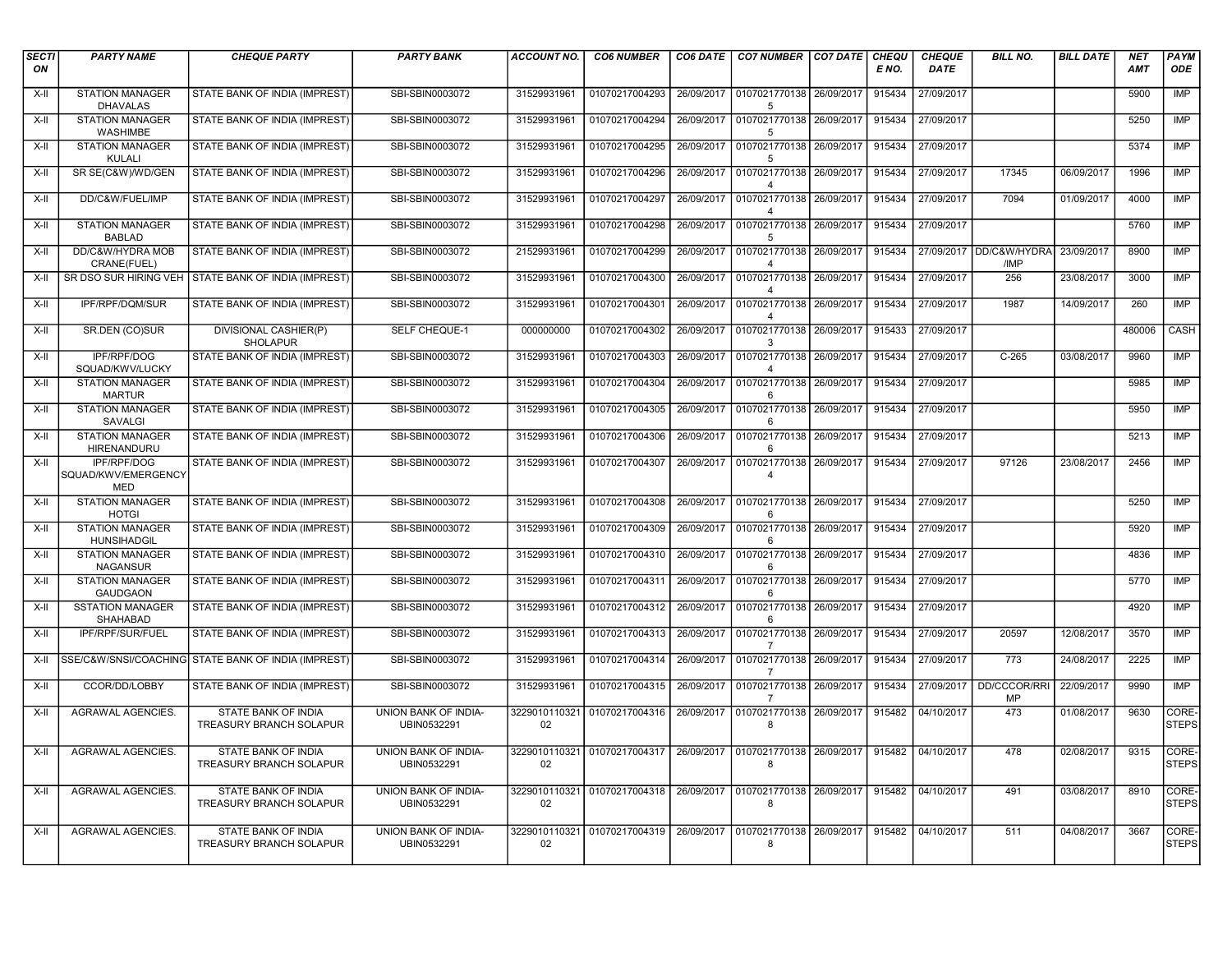| <b>SECTI</b><br>ON | <b>PARTY NAME</b>                                       | <b>CHEQUE PARTY</b>                                          | <b>PARTY BANK</b>                   | <b>ACCOUNT NO.</b>  | <b>CO6 NUMBER</b>            | <b>CO6 DATE</b> | CO7 NUMBER CO7 DATE                          |            | <b>CHEQU</b><br>E NO. | <b>CHEQUE</b><br><b>DATE</b> | <b>BILL NO.</b>                   | <b>BILL DATE</b> | <b>NET</b><br>AMT | PAYM<br><b>ODE</b>    |
|--------------------|---------------------------------------------------------|--------------------------------------------------------------|-------------------------------------|---------------------|------------------------------|-----------------|----------------------------------------------|------------|-----------------------|------------------------------|-----------------------------------|------------------|-------------------|-----------------------|
| X-II               | <b>STATION MANAGER</b><br><b>DHAVALAS</b>               | STATE BANK OF INDIA (IMPREST)                                | SBI-SBIN0003072                     | 31529931961         | 01070217004293               | 26/09/2017      | 0107021770138 26/09/2017<br>5                |            | 915434                | 27/09/2017                   |                                   |                  | 5900              | <b>IMP</b>            |
| $X-H$              | <b>STATION MANAGER</b><br><b>WASHIMBE</b>               | STATE BANK OF INDIA (IMPREST)                                | SBI-SBIN0003072                     | 31529931961         | 01070217004294               | 26/09/2017      | 0107021770138 26/09/2017<br>5                |            | 915434                | 27/09/2017                   |                                   |                  | 5250              | IMP                   |
| X-II               | <b>STATION MANAGER</b><br>KULALI                        | STATE BANK OF INDIA (IMPREST)                                | SBI-SBIN0003072                     | 31529931961         | 01070217004295               |                 | 26/09/2017 0107021770138 26/09/2017<br>5     |            | 915434                | 27/09/2017                   |                                   |                  | 5374              | <b>IMP</b>            |
| $X-H$              | SR SE(C&W)/WD/GEN                                       | STATE BANK OF INDIA (IMPREST)                                | SBI-SBIN0003072                     | 31529931961         | 01070217004296               | 26/09/2017      | 0107021770138 26/09/2017<br>4                |            | 915434                | 27/09/2017                   | 17345                             | 06/09/2017       | 1996              | IMP                   |
| X-II               | DD/C&W/FUEL/IMP                                         | STATE BANK OF INDIA (IMPREST)                                | SBI-SBIN0003072                     | 31529931961         | 01070217004297               | 26/09/2017      | 0107021770138 26/09/2017<br>4                |            | 915434                | 27/09/2017                   | 7094                              | 01/09/2017       | 4000              | IMP                   |
| X-II               | <b>STATION MANAGER</b><br><b>BABLAD</b>                 | STATE BANK OF INDIA (IMPREST)                                | SBI-SBIN0003072                     | 31529931961         | 01070217004298               | 26/09/2017      | 0107021770138 26/09/2017<br>5                |            | 915434                | 27/09/2017                   |                                   |                  | 5760              | <b>IMP</b>            |
| X-II               | DD/C&W/HYDRA MOB<br>CRANE(FUEL)                         | STATE BANK OF INDIA (IMPREST)                                | SBI-SBIN0003072                     | 21529931961         | 01070217004299               | 26/09/2017      | 0107021770138 26/09/2017                     |            | 915434                |                              | 27/09/2017   DD/C&W/HYDRA<br>/IMP | 23/09/2017       | 8900              | IMP                   |
| X-II               | SR DSO SUR HIRING VEH                                   | STATE BANK OF INDIA (IMPREST)                                | SBI-SBIN0003072                     | 31529931961         | 01070217004300               | 26/09/2017      | 0107021770138<br>4                           | 26/09/2017 | 915434                | 27/09/2017                   | 256                               | 23/08/2017       | 3000              | <b>IMP</b>            |
| $X-H$              | IPF/RPF/DQM/SUR                                         | STATE BANK OF INDIA (IMPREST)                                | SBI-SBIN0003072                     | 31529931961         | 01070217004301               | 26/09/2017      | 0107021770138 26/09/2017<br>4                |            | 915434                | 27/09/2017                   | 1987                              | 14/09/2017       | 260               | IMP                   |
| $X-H$              | SR.DEN (CO)SUR                                          | DIVISIONAL CASHIER(P)<br><b>SHOLAPUR</b>                     | SELF CHEQUE-1                       | 000000000           | 01070217004302               | 26/09/2017      | 0107021770138<br>3                           | 26/09/2017 | 915433                | 27/09/2017                   |                                   |                  | 480006            | CASH                  |
| $X-H$              | IPF/RPF/DOG<br>SQUAD/KWV/LUCKY                          | STATE BANK OF INDIA (IMPREST)                                | SBI-SBIN0003072                     | 31529931961         | 01070217004303               | 26/09/2017      | 0107021770138 26/09/2017<br>4                |            | 915434                | 27/09/2017                   | $C-265$                           | 03/08/2017       | 9960              | <b>IMP</b>            |
| X-II               | <b>STATION MANAGER</b><br><b>MARTUR</b>                 | STATE BANK OF INDIA (IMPREST)                                | SBI-SBIN0003072                     | 31529931961         | 01070217004304               | 26/09/2017      | 0107021770138 26/09/2017<br>6                |            | 915434                | 27/09/2017                   |                                   |                  | 5985              | IMP                   |
| $X-H$              | <b>STATION MANAGER</b><br><b>SAVALGI</b>                | STATE BANK OF INDIA (IMPREST)                                | SBI-SBIN0003072                     | 31529931961         | 01070217004305               | 26/09/2017      | 0107021770138<br>6                           | 26/09/2017 | 915434                | 27/09/2017                   |                                   |                  | 5950              | <b>IMP</b>            |
| $X-H$              | <b>STATION MANAGER</b><br>HIRENANDURU                   | STATE BANK OF INDIA (IMPREST)                                | SBI-SBIN0003072                     | 31529931961         | 01070217004306               | 26/09/2017      | 0107021770138 26/09/2017<br>6                |            | 915434                | 27/09/2017                   |                                   |                  | 5213              | IMP                   |
| X-II               | <b>IPF/RPF/DOG</b><br>SQUAD/KWV/EMERGENCY<br><b>MED</b> | STATE BANK OF INDIA (IMPREST)                                | SBI-SBIN0003072                     | 31529931961         | 01070217004307               | 26/09/2017      | 0107021770138 26/09/2017<br>4                |            | 915434                | 27/09/2017                   | 97126                             | 23/08/2017       | 2456              | IMP                   |
| X-II               | <b>STATION MANAGER</b><br><b>HOTGI</b>                  | STATE BANK OF INDIA (IMPREST)                                | SBI-SBIN0003072                     | 31529931961         | 01070217004308               | 26/09/2017      | 0107021770138 26/09/2017<br>6                |            | 915434                | 27/09/2017                   |                                   |                  | 5250              | IMP                   |
| $X-H$              | <b>STATION MANAGER</b><br><b>HUNSIHADGIL</b>            | STATE BANK OF INDIA (IMPREST)                                | SBI-SBIN0003072                     | 31529931961         | 01070217004309               | 26/09/2017      | 0107021770138 26/09/2017<br>6                |            | 915434                | 27/09/2017                   |                                   |                  | 5920              | <b>IMP</b>            |
| X-II               | <b>STATION MANAGER</b><br><b>NAGANSUR</b>               | STATE BANK OF INDIA (IMPREST)                                | SBI-SBIN0003072                     | 31529931961         | 01070217004310               | 26/09/2017      | 0107021770138 26/09/2017<br>6                |            | 915434                | 27/09/2017                   |                                   |                  | 4836              | <b>IMP</b>            |
| $X-H$              | <b>STATION MANAGER</b><br><b>GAUDGAON</b>               | STATE BANK OF INDIA (IMPREST)                                | SBI-SBIN0003072                     | 31529931961         | 01070217004311               | 26/09/2017      | 0107021770138 26/09/2017<br>6                |            | 915434                | 27/09/2017                   |                                   |                  | 5770              | IMP                   |
| $X-H$              | <b>SSTATION MANAGER</b><br>SHAHABAD                     | STATE BANK OF INDIA (IMPREST)                                | SBI-SBIN0003072                     | 31529931961         | 01070217004312               | 26/09/2017      | 0107021770138 26/09/2017<br>6                |            | 915434                | 27/09/2017                   |                                   |                  | 4920              | IMP                   |
| $X-H$              | IPF/RPF/SUR/FUEL                                        | STATE BANK OF INDIA (IMPREST)                                | SBI-SBIN0003072                     | 31529931961         | 01070217004313               | 26/09/2017      | 0107021770138 26/09/2017<br>7                |            | 915434                | 27/09/2017                   | 20597                             | 12/08/2017       | 3570              | <b>IMP</b>            |
| $X-H$              |                                                         | SSE/C&W/SNSI/COACHING STATE BANK OF INDIA (IMPREST)          | SBI-SBIN0003072                     | 31529931961         | 01070217004314               | 26/09/2017      | 0107021770138 26/09/2017<br>$\overline{7}$   |            | 915434                | 27/09/2017                   | 773                               | 24/08/2017       | 2225              | <b>IMP</b>            |
| X-II               | CCOR/DD/LOBBY                                           | STATE BANK OF INDIA (IMPREST)                                | SBI-SBIN0003072                     | 31529931961         | 01070217004315               | 26/09/2017      | 0107021770138 26/09/2017<br>-7               |            | 915434                | 27/09/2017                   | DD/CCCOR/RRI<br>MP                | 22/09/2017       | 9990              | IMP                   |
| $X-II$             | <b>AGRAWAL AGENCIES.</b>                                | <b>STATE BANK OF INDIA</b><br><b>TREASURY BRANCH SOLAPUR</b> | UNION BANK OF INDIA-<br>UBIN0532291 | 02                  | 3229010110321 01070217004316 | 26/09/2017      | 0107021770138 26/09/2017<br>8                |            | 915482                | 04/10/2017                   | 473                               | 01/08/2017       | 9630              | CORE-<br><b>STEPS</b> |
| X-II               | AGRAWAL AGENCIES.                                       | STATE BANK OF INDIA<br><b>TREASURY BRANCH SOLAPUR</b>        | UNION BANK OF INDIA-<br>UBIN0532291 | 3229010110321<br>02 | 01070217004317               | 26/09/2017      | 0107021770138 26/09/2017<br>8                |            | 915482                | 04/10/2017                   | 478                               | 02/08/2017       | 9315              | CORE-<br><b>STEPS</b> |
| X-II               | <b>AGRAWAL AGENCIES.</b>                                | STATE BANK OF INDIA<br>TREASURY BRANCH SOLAPUR               | UNION BANK OF INDIA-<br>UBIN0532291 | 3229010110321<br>02 | 01070217004318               |                 | 26/09/2017   0107021770138   26/09/2017<br>8 |            | 915482                | 04/10/2017                   | 491                               | 03/08/2017       | 8910              | CORE-<br><b>STEPS</b> |
| X-II               | AGRAWAL AGENCIES.                                       | <b>STATE BANK OF INDIA</b><br><b>TREASURY BRANCH SOLAPUR</b> | UNION BANK OF INDIA-<br>UBIN0532291 | 3229010110321<br>02 | 01070217004319               | 26/09/2017      | 0107021770138 26/09/2017<br>8                |            | 915482                | 04/10/2017                   | 511                               | 04/08/2017       | 3667              | CORE-<br><b>STEPS</b> |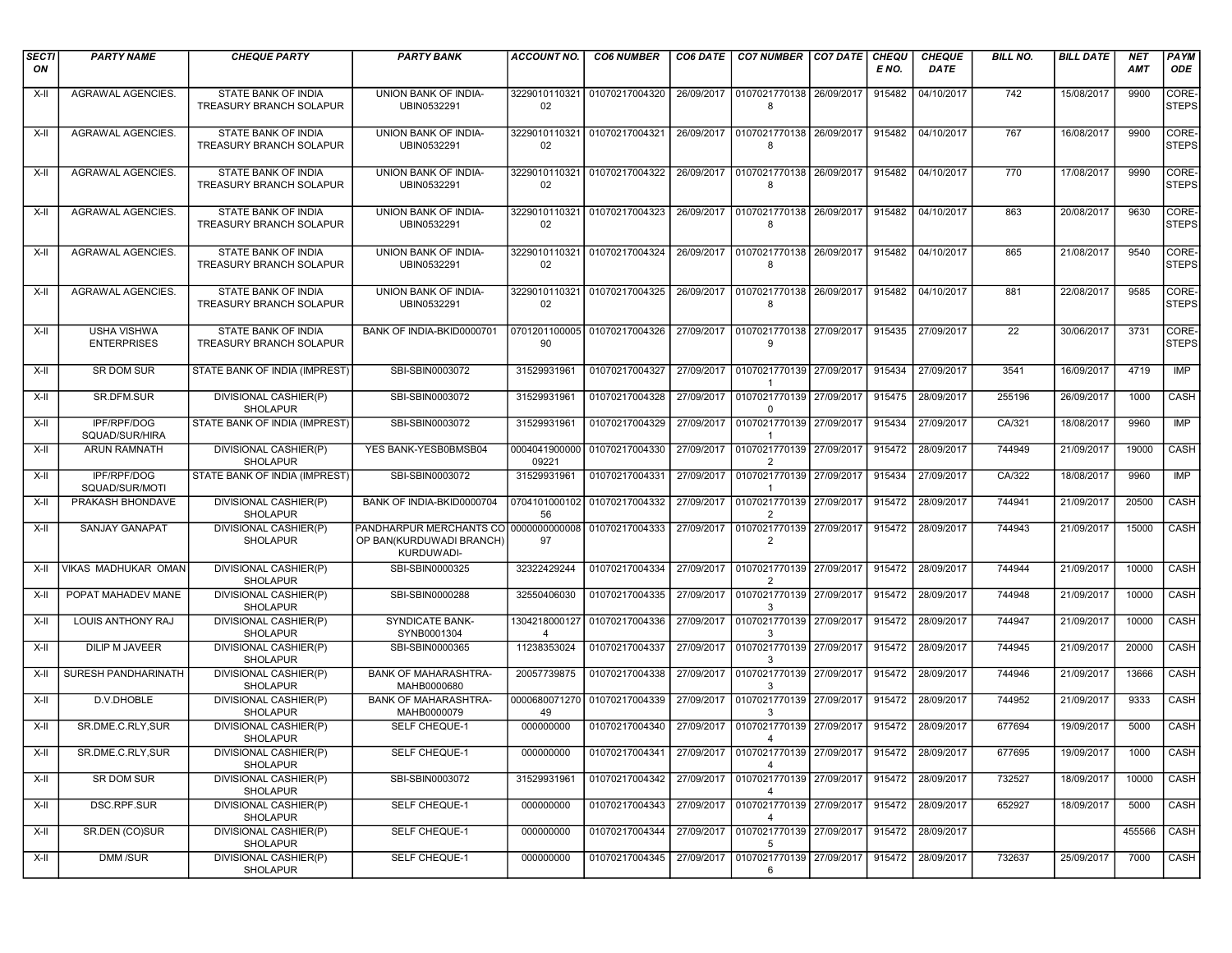| <b>SECTI</b><br>ON | <b>PARTY NAME</b>                        | <b>CHEQUE PARTY</b>                             | <b>PARTY BANK</b>                                                                              | <b>ACCOUNT NO.</b>     | <b>CO6 NUMBER</b>                                                    | <b>CO6 DATE</b> | <b>CO7 NUMBER CO7 DATE</b>                              | <b>CHEQU</b><br>E NO. | <b>CHEQUE</b><br>DATE | <b>BILL NO.</b> | <b>BILL DATE</b> | <b>NET</b><br><b>AMT</b> | PAYM<br><b>ODE</b>    |
|--------------------|------------------------------------------|-------------------------------------------------|------------------------------------------------------------------------------------------------|------------------------|----------------------------------------------------------------------|-----------------|---------------------------------------------------------|-----------------------|-----------------------|-----------------|------------------|--------------------------|-----------------------|
| X-II               | AGRAWAL AGENCIES.                        | <b>STATE BANK OF INDIA</b>                      | UNION BANK OF INDIA-                                                                           | 3229010110321          | 01070217004320                                                       |                 | 26/09/2017 0107021770138 26/09/2017                     | 915482                | 04/10/2017            | 742             | 15/08/2017       | 9900                     | CORE-                 |
|                    |                                          | TREASURY BRANCH SOLAPUR                         | UBIN0532291                                                                                    | 02                     |                                                                      |                 | 8                                                       |                       |                       |                 |                  |                          | <b>STEPS</b>          |
| X-II               | AGRAWAL AGENCIES.                        | STATE BANK OF INDIA<br>TREASURY BRANCH SOLAPUR  | UNION BANK OF INDIA-<br>UBIN0532291                                                            | 3229010110321<br>02    | 01070217004321                                                       |                 | 26/09/2017   0107021770138   26/09/2017<br>8            | 915482                | 04/10/2017            | 767             | 16/08/2017       | 9900                     | CORE-<br><b>STEPS</b> |
| X-II               | AGRAWAL AGENCIES.                        | STATE BANK OF INDIA<br>TREASURY BRANCH SOLAPUR  | UNION BANK OF INDIA-<br>UBIN0532291                                                            | 3229010110321<br>02    | 01070217004322                                                       |                 | 26/09/2017   0107021770138   26/09/2017<br>8            | 915482                | 04/10/2017            | 770             | 17/08/2017       | 9990                     | CORE-<br><b>STEPS</b> |
| X-II               | <b>AGRAWAL AGENCIES.</b>                 | STATE BANK OF INDIA<br>TREASURY BRANCH SOLAPUR  | UNION BANK OF INDIA-<br>UBIN0532291                                                            | 3229010110321<br>02    | 01070217004323                                                       |                 | 26/09/2017   0107021770138   26/09/2017<br>8            | 915482                | 04/10/2017            | 863             | 20/08/2017       | 9630                     | CORE-<br><b>STEPS</b> |
| X-II               | <b>AGRAWAL AGENCIES.</b>                 | STATE BANK OF INDIA<br>TREASURY BRANCH SOLAPUR  | UNION BANK OF INDIA-<br>UBIN0532291                                                            | 3229010110321<br>02    | 01070217004324                                                       |                 | 26/09/2017 0107021770138 26/09/2017<br>8                | 915482                | 04/10/2017            | 865             | 21/08/2017       | 9540                     | CORE-<br><b>STEPS</b> |
| X-II               | AGRAWAL AGENCIES.                        | STATE BANK OF INDIA<br>TREASURY BRANCH SOLAPUR  | UNION BANK OF INDIA-<br>UBIN0532291                                                            | 3229010110321<br>02    | 01070217004325 26/09/2017 0107021770138 26/09/2017                   |                 | 8                                                       | 915482                | 04/10/2017            | 881             | 22/08/2017       | 9585                     | CORE-<br><b>STEPS</b> |
| X-II               | <b>USHA VISHWA</b><br><b>ENTERPRISES</b> | STATE BANK OF INDIA<br>TREASURY BRANCH SOLAPUR  | BANK OF INDIA-BKID0000701                                                                      | 90                     | 0701201100005 01070217004326                                         |                 | 27/09/2017 0107021770138 27/09/2017<br>9                | 915435                | 27/09/2017            | 22              | 30/06/2017       | 3731                     | CORE-<br><b>STEPS</b> |
| X-II               | SR DOM SUR                               | STATE BANK OF INDIA (IMPREST)                   | SBI-SBIN0003072                                                                                | 31529931961            | 01070217004327                                                       |                 | 27/09/2017 0107021770139 27/09/2017<br>$\overline{1}$   | 915434                | 27/09/2017            | 3541            | 16/09/2017       | 4719                     | IMP                   |
| X-II               | SR.DFM.SUR                               | DIVISIONAL CASHIER(P)<br><b>SHOLAPUR</b>        | SBI-SBIN0003072                                                                                | 31529931961            | 01070217004328                                                       |                 | 27/09/2017   0107021770139   27/09/2017<br>$\mathbf{0}$ | 915475                | 28/09/2017            | 255196          | 26/09/2017       | 1000                     | CASH                  |
| X-II               | IPF/RPF/DOG<br>SQUAD/SUR/HIRA            | STATE BANK OF INDIA (IMPREST)                   | SBI-SBIN0003072                                                                                | 31529931961            | 01070217004329                                                       | 27/09/2017      | 0107021770139 27/09/2017                                | 915434                | 27/09/2017            | CA/321          | 18/08/2017       | 9960                     | <b>IMP</b>            |
| $X-H$              | <b>ARUN RAMNATH</b>                      | DIVISIONAL CASHIER(P)<br><b>SHOLAPUR</b>        | YES BANK-YESB0BMSB04                                                                           | 0004041900000<br>09221 | 01070217004330                                                       |                 | 27/09/2017 0107021770139 27/09/2017<br>2                | 915472                | 28/09/2017            | 744949          | 21/09/2017       | 19000                    | <b>CASH</b>           |
| X-II               | IPF/RPF/DOG<br>SQUAD/SUR/MOTI            | STATE BANK OF INDIA (IMPREST)                   | SBI-SBIN0003072                                                                                | 31529931961            | 01070217004331                                                       |                 | 27/09/2017 0107021770139 27/09/2017<br>-1               | 915434                | 27/09/2017            | CA/322          | 18/08/2017       | 9960                     | <b>IMP</b>            |
| X-II               | PRAKASH BHONDAVE                         | DIVISIONAL CASHIER(P)<br><b>SHOLAPUR</b>        | BANK OF INDIA-BKID0000704                                                                      | 56                     | 0704101000102 01070217004332                                         |                 | 27/09/2017 0107021770139 27/09/2017<br>2                | 915472                | 28/09/2017            | 744941          | 21/09/2017       | 20500                    | <b>CASH</b>           |
| $X-H$              | <b>SANJAY GANAPAT</b>                    | DIVISIONAL CASHIER(P)<br><b>SHOLAPUR</b>        | PANDHARPUR MERCHANTS CO 0000000000008 01070217004333<br>OP BAN(KURDUWADI BRANCH)<br>KURDUWADI- | 97                     |                                                                      | 27/09/2017      | 0107021770139 27/09/2017<br>2                           | 915472                | 28/09/2017            | 744943          | 21/09/2017       | 15000                    | <b>CASH</b>           |
| $X-H$              | VIKAS MADHUKAR OMAN                      | DIVISIONAL CASHIER(P)<br><b>SHOLAPUR</b>        | SBI-SBIN0000325                                                                                | 32322429244            | 01070217004334                                                       |                 | 27/09/2017 0107021770139 27/09/2017<br>2                | 915472                | 28/09/2017            | 744944          | 21/09/2017       | 10000                    | <b>CASH</b>           |
| X-II               | POPAT MAHADEV MANE                       | DIVISIONAL CASHIER(P)<br><b>SHOLAPUR</b>        | SBI-SBIN0000288                                                                                | 32550406030            | 01070217004335                                                       | 27/09/2017      | 0107021770139 27/09/2017<br>3                           | 915472                | 28/09/2017            | 744948          | 21/09/2017       | 10000                    | <b>CASH</b>           |
| X-II               | <b>LOUIS ANTHONY RAJ</b>                 | DIVISIONAL CASHIER(P)<br><b>SHOLAPUR</b>        | SYNDICATE BANK-<br>SYNB0001304                                                                 | $\overline{4}$         | 1304218000127 01070217004336                                         |                 | 27/09/2017 0107021770139 27/09/2017<br>3                | 915472                | 28/09/2017            | 744947          | 21/09/2017       | 10000                    | <b>CASH</b>           |
| X-II               | DILIP M JAVEER                           | DIVISIONAL CASHIER(P)<br><b>SHOLAPUR</b>        | SBI-SBIN0000365                                                                                | 11238353024            | 01070217004337                                                       |                 | 27/09/2017 0107021770139 27/09/2017<br>3                | 915472                | 28/09/2017            | 744945          | 21/09/2017       | 20000                    | CASH                  |
| X-II               | SURESH PANDHARINATH                      | DIVISIONAL CASHIER(P)<br><b>SHOLAPUR</b>        | <b>BANK OF MAHARASHTRA-</b><br>MAHB0000680                                                     | 20057739875            | 01070217004338                                                       |                 | 27/09/2017 0107021770139 27/09/2017<br>3                | 915472                | 28/09/2017            | 744946          | 21/09/2017       | 13666                    | CASH                  |
| X-II               | D.V.DHOBLE                               | DIVISIONAL CASHIER(P)<br><b>SHOLAPUR</b>        | <b>BANK OF MAHARASHTRA-</b><br>MAHB0000079                                                     | 0000680071270<br>49    | 01070217004339                                                       |                 | 27/09/2017 0107021770139 27/09/2017<br>3                | 915472                | 28/09/2017            | 744952          | 21/09/2017       | 9333                     | CASH                  |
| X-II               | SR.DME.C.RLY, SUR                        | DIVISIONAL CASHIER(P)<br><b>SHOLAPUR</b>        | SELF CHEQUE-1                                                                                  | 000000000              | 01070217004340                                                       |                 | 27/09/2017 0107021770139 27/09/2017<br>4                | 915472                | 28/09/2017            | 677694          | 19/09/2017       | 5000                     | CASH                  |
| X-II               | SR.DME.C.RLY, SUR                        | DIVISIONAL CASHIER(P)<br><b>SHOLAPUR</b>        | SELF CHEQUE-1                                                                                  | 000000000              | 01070217004341 27/09/2017 0107021770139 27/09/2017 915472 28/09/2017 |                 | 4                                                       |                       |                       | 677695          | 19/09/2017       | 1000                     | CASH                  |
| X-II               | <b>SR DOM SUR</b>                        | DIVISIONAL CASHIER(P)<br><b>SHOLAPUR</b>        | SBI-SBIN0003072                                                                                | 31529931961            | 01070217004342 27/09/2017 0107021770139 27/09/2017                   |                 | 4                                                       | 915472                | 28/09/2017            | 732527          | 18/09/2017       | 10000                    | CASH                  |
| X-II               | DSC.RPF.SUR                              | DIVISIONAL CASHIER(P)<br><b>SHOLAPUR</b>        | SELF CHEQUE-1                                                                                  | 000000000              | 01070217004343 27/09/2017 0107021770139 27/09/2017                   |                 | $\overline{4}$                                          |                       | 915472 28/09/2017     | 652927          | 18/09/2017       | 5000                     | CASH                  |
| X-II               | SR.DEN (CO)SUR                           | <b>DIVISIONAL CASHIER(P)</b><br><b>SHOLAPUR</b> | SELF CHEQUE-1                                                                                  | 000000000              | 01070217004344                                                       |                 | 27/09/2017 0107021770139 27/09/2017<br>5                |                       | 915472 28/09/2017     |                 |                  | 455566                   | <b>CASH</b>           |
| X-II               | <b>DMM/SUR</b>                           | DIVISIONAL CASHIER(P)<br>SHOLAPUR               | SELF CHEQUE-1                                                                                  | 000000000              | 01070217004345                                                       |                 | 27/09/2017 0107021770139 27/09/2017<br>6                | 915472                | 28/09/2017            | 732637          | 25/09/2017       | 7000                     | CASH                  |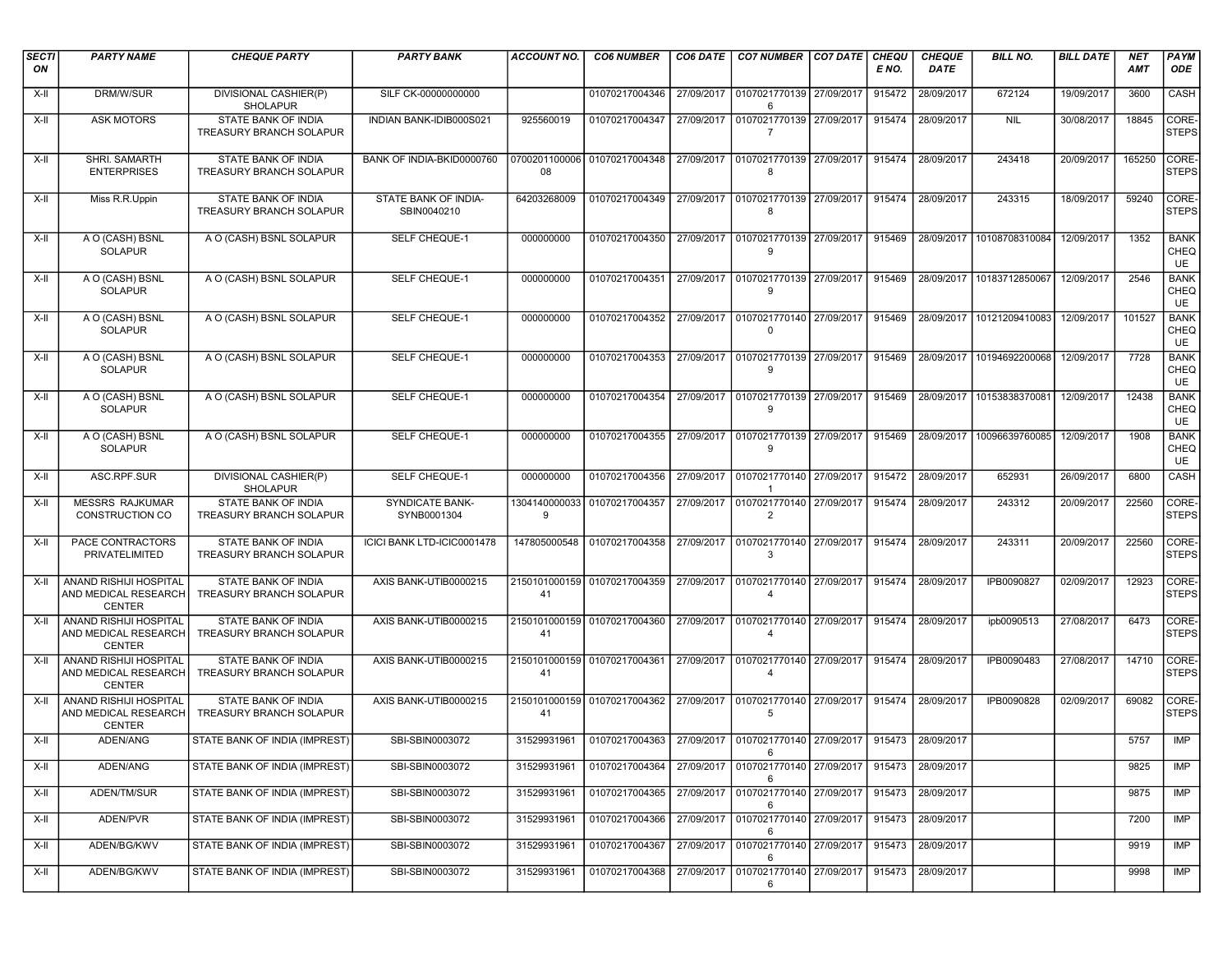| <b>SECTI</b><br>ON | <b>PARTY NAME</b>                                               | <b>CHEQUE PARTY</b>                            | <b>PARTY BANK</b>                     | <b>ACCOUNT NO.</b> | <b>CO6 NUMBER</b>                                                                            | $CO6$ DATE $ $ | <b>CO7 NUMBER CO7 DATE</b>                                              | <b>CHEQU</b><br>E NO. | <b>CHEQUE</b><br>DATE | <b>BILL NO.</b> | <b>BILL DATE</b> | <b>NET</b><br><b>AMT</b> | PAYM<br>ODE                      |
|--------------------|-----------------------------------------------------------------|------------------------------------------------|---------------------------------------|--------------------|----------------------------------------------------------------------------------------------|----------------|-------------------------------------------------------------------------|-----------------------|-----------------------|-----------------|------------------|--------------------------|----------------------------------|
| X-II               | DRM/W/SUR                                                       | DIVISIONAL CASHIER(P)<br><b>SHOLAPUR</b>       | SILF CK-00000000000                   |                    | 01070217004346   27/09/2017   0107021770139   27/09/2017                                     |                | 6                                                                       | 915472                | 28/09/2017            | 672124          | 19/09/2017       | 3600                     | CASH                             |
| X-II               | <b>ASK MOTORS</b>                                               | STATE BANK OF INDIA<br>TREASURY BRANCH SOLAPUR | INDIAN BANK-IDIB000S021               | 925560019          | 01070217004347                                                                               | 27/09/2017     | 0107021770139 27/09/2017<br>7                                           | 915474                | 28/09/2017            | <b>NIL</b>      | 30/08/2017       | 18845                    | CORE-<br><b>STEPS</b>            |
| $X-H$              | SHRI. SAMARTH<br><b>ENTERPRISES</b>                             | STATE BANK OF INDIA<br>TREASURY BRANCH SOLAPUR | BANK OF INDIA-BKID0000760             | 08                 | 0700201100006 01070217004348 27/09/2017 0107021770139 27/09/2017 915474                      |                | 8                                                                       |                       | 28/09/2017            | 243418          | 20/09/2017       | 165250                   | CORE-<br><b>STEPS</b>            |
| X-II               | Miss R.R.Uppin                                                  | STATE BANK OF INDIA<br>TREASURY BRANCH SOLAPUR | STATE BANK OF INDIA-<br>SBIN0040210   | 64203268009        | 01070217004349 27/09/2017 0107021770139 27/09/2017 915474                                    |                | 8                                                                       |                       | 28/09/2017            | 243315          | 18/09/2017       | 59240                    | CORE-<br><b>STEPS</b>            |
| X-II               | A O (CASH) BSNL<br><b>SOLAPUR</b>                               | A O (CASH) BSNL SOLAPUR                        | <b>SELF CHEQUE-1</b>                  | 000000000          | 01070217004350   27/09/2017   0107021770139   27/09/2017   915469   28/09/2017               |                | 9                                                                       |                       |                       | 10108708310084  | 12/09/2017       | 1352                     | <b>BANK</b><br><b>CHEQ</b><br>UE |
| X-II               | A O (CASH) BSNL<br><b>SOLAPUR</b>                               | A O (CASH) BSNL SOLAPUR                        | <b>SELF CHEQUE-1</b>                  | 000000000          | 01070217004351                                                                               |                | 27/09/2017   0107021770139   27/09/2017   915469<br>9                   |                       | 28/09/2017            | 10183712850067  | 12/09/2017       | 2546                     | <b>BANK</b><br>CHEQ<br>UE        |
| X-II               | A O (CASH) BSNL<br><b>SOLAPUR</b>                               | A O (CASH) BSNL SOLAPUR                        | <b>SELF CHEQUE-1</b>                  | 000000000          | 01070217004352 27/09/2017 0107021770140 27/09/2017 915469                                    |                | $\mathbf 0$                                                             |                       | 28/09/2017            | 10121209410083  | 12/09/2017       | 101527                   | <b>BANK</b><br>CHEQ<br>UE        |
| X-II               | A O (CASH) BSNL<br><b>SOLAPUR</b>                               | A O (CASH) BSNL SOLAPUR                        | <b>SELF CHEQUE-1</b>                  | 000000000          | 01070217004353 27/09/2017 0107021770139 27/09/2017 915469                                    |                | 9                                                                       |                       | 28/09/2017            | 10194692200068  | 12/09/2017       | 7728                     | <b>BANK</b><br><b>CHEQ</b><br>UE |
| X-II               | A O (CASH) BSNL<br><b>SOLAPUR</b>                               | A O (CASH) BSNL SOLAPUR                        | <b>SELF CHEQUE-1</b>                  | 000000000          | 01070217004354                                                                               |                | 27/09/2017   0107021770139   27/09/2017   915469<br>9                   |                       | 28/09/2017            | 10153838370081  | 12/09/2017       | 12438                    | <b>BANK</b><br>CHEQ<br>UE        |
| X-II               | A O (CASH) BSNL<br><b>SOLAPUR</b>                               | A O (CASH) BSNL SOLAPUR                        | <b>SELF CHEQUE-1</b>                  | 000000000          | 01070217004355   27/09/2017   0107021770139   27/09/2017   915469                            |                | 9                                                                       |                       | 28/09/2017            | 10096639760085  | 12/09/2017       | 1908                     | <b>BANK</b><br>CHEQ<br>UE        |
| X-II               | ASC.RPF.SUR                                                     | DIVISIONAL CASHIER(P)<br><b>SHOLAPUR</b>       | SELF CHEQUE-1                         | 000000000          | 01070217004356                                                                               |                | 27/09/2017 0107021770140 27/09/2017 915472<br>-1                        |                       | 28/09/2017            | 652931          | 26/09/2017       | 6800                     | <b>CASH</b>                      |
| $X-H$              | <b>MESSRS RAJKUMAR</b><br>CONSTRUCTION CO                       | STATE BANK OF INDIA<br>TREASURY BRANCH SOLAPUR | <b>SYNDICATE BANK-</b><br>SYNB0001304 | 1304140000033<br>9 | 01070217004357                                                                               | 27/09/2017     | 0107021770140 27/09/2017<br>2                                           | 915474                | 28/09/2017            | 243312          | 20/09/2017       | 22560                    | CORE-<br><b>STEPS</b>            |
| X-II               | PACE CONTRACTORS<br>PRIVATELIMITED                              | STATE BANK OF INDIA<br>TREASURY BRANCH SOLAPUR | ICICI BANK LTD-ICIC0001478            | 147805000548       | 01070217004358   27/09/2017   0107021770140   27/09/2017   915474                            |                | 3                                                                       |                       | 28/09/2017            | 243311          | 20/09/2017       | 22560                    | CORE-<br><b>STEPS</b>            |
| X-II               | ANAND RISHIJI HOSPITAL<br>AND MEDICAL RESEARCH<br><b>CENTER</b> | STATE BANK OF INDIA<br>TREASURY BRANCH SOLAPUR | AXIS BANK-UTIB0000215                 | 41                 | 2150101000159 01070217004359 27/09/2017 0107021770140 27/09/2017 915474                      |                | $\overline{4}$                                                          |                       | 28/09/2017            | IPB0090827      | 02/09/2017       | 12923                    | CORE-<br><b>STEPS</b>            |
| X-II               | ANAND RISHIJI HOSPITAL<br>AND MEDICAL RESEARCH<br><b>CENTER</b> | STATE BANK OF INDIA<br>TREASURY BRANCH SOLAPUR | AXIS BANK-UTIB0000215                 | 41                 | 2150101000159 01070217004360 27/09/2017 0107021770140 27/09/2017 915474 28/09/2017           |                | 4                                                                       |                       |                       | ipb0090513      | 27/08/2017       | 6473                     | CORE-<br><b>STEPS</b>            |
| $X-H$              | ANAND RISHIJI HOSPITAL<br>AND MEDICAL RESEARCH<br><b>CENTER</b> | STATE BANK OF INDIA<br>TREASURY BRANCH SOLAPUR | AXIS BANK-UTIB0000215                 | 41                 | 2150101000159 01070217004361                                                                 |                | 27/09/2017 0107021770140 27/09/2017 915474 28/09/2017<br>$\overline{4}$ |                       |                       | IPB0090483      | 27/08/2017       | 14710                    | CORE-<br><b>STEPS</b>            |
| X-II               | ANAND RISHIJI HOSPITAL<br>AND MEDICAL RESEARCH<br><b>CENTER</b> | STATE BANK OF INDIA<br>TREASURY BRANCH SOLAPUR | AXIS BANK-UTIB0000215                 | 41                 | 2150101000159 01070217004362 27/09/2017 0107021770140 27/09/2017 915474 28/09/2017           |                | 5                                                                       |                       |                       | IPB0090828      | 02/09/2017       | 69082                    | CORE-<br><b>STEPS</b>            |
| X-II               | ADEN/ANG                                                        | STATE BANK OF INDIA (IMPREST)                  | SBI-SBIN0003072                       |                    | 31529931961   01070217004363   27/09/2017   0107021770140   27/09/2017   915473   28/09/2017 |                | 6                                                                       |                       |                       |                 |                  | 5757                     | IMP                              |
| X-II               | ADEN/ANG                                                        | STATE BANK OF INDIA (IMPREST)                  | SBI-SBIN0003072                       | 31529931961        | 01070217004364                                                                               |                | 27/09/2017 0107021770140 27/09/2017 915473                              |                       | 28/09/2017            |                 |                  | 9825                     | <b>IMP</b>                       |
| X-II               | ADEN/TM/SUR                                                     | STATE BANK OF INDIA (IMPREST)                  | SBI-SBIN0003072                       | 31529931961        | 01070217004365                                                                               |                | 27/09/2017 0107021770140 27/09/2017<br>6                                | 915473                | 28/09/2017            |                 |                  | 9875                     | <b>IMP</b>                       |
| X-II               | ADEN/PVR                                                        | STATE BANK OF INDIA (IMPREST)                  | SBI-SBIN0003072                       | 31529931961        | 01070217004366                                                                               |                | 27/09/2017 0107021770140 27/09/2017 915473                              |                       | 28/09/2017            |                 |                  | 7200                     | <b>IMP</b>                       |
| X-II               | ADEN/BG/KWV                                                     | STATE BANK OF INDIA (IMPREST)                  | SBI-SBIN0003072                       | 31529931961        | 01070217004367                                                                               |                | 27/09/2017 0107021770140 27/09/2017 915473<br>6                         |                       | 28/09/2017            |                 |                  | 9919                     | <b>IMP</b>                       |
| X-II               | ADEN/BG/KWV                                                     | STATE BANK OF INDIA (IMPREST)                  | SBI-SBIN0003072                       | 31529931961        | 01070217004368 27/09/2017 0107021770140 27/09/2017 915473                                    |                | 6                                                                       |                       | 28/09/2017            |                 |                  | 9998                     | <b>IMP</b>                       |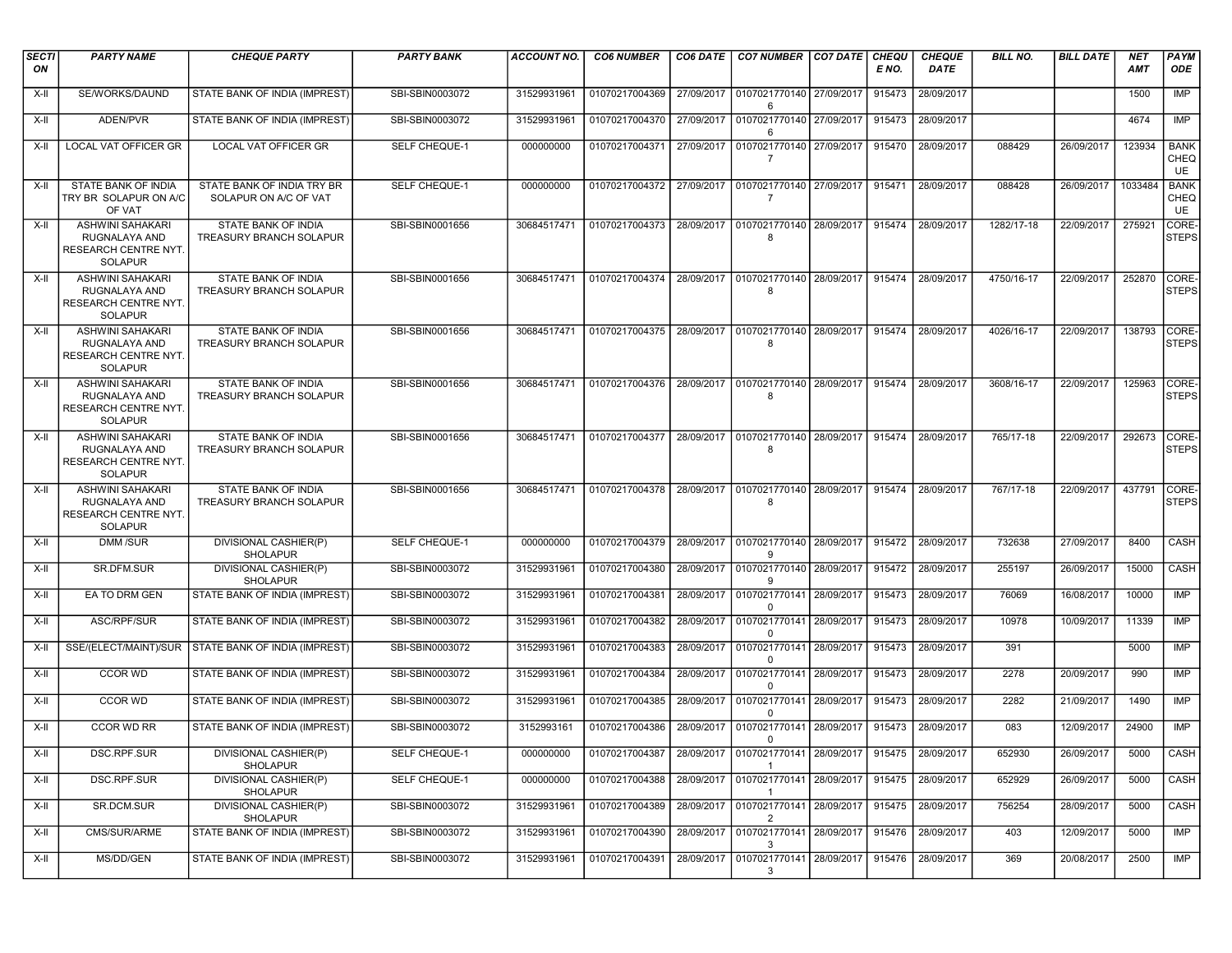| <b>SECTI</b><br>ON | <b>PARTY NAME</b>                                                                         | <b>CHEQUE PARTY</b>                                   | <b>PARTY BANK</b>    | <b>ACCOUNT NO.</b> | <b>CO6 NUMBER</b>                                                              |            | CO6 DATE   CO7 NUMBER   CO7 DATE   CHEQU                           |            | E NO.  | <b>CHEQUE</b><br>DATE | <b>BILL NO.</b> | <b>BILL DATE</b> | <b>NET</b><br><b>AMT</b> | PAYM<br>ODE               |
|--------------------|-------------------------------------------------------------------------------------------|-------------------------------------------------------|----------------------|--------------------|--------------------------------------------------------------------------------|------------|--------------------------------------------------------------------|------------|--------|-----------------------|-----------------|------------------|--------------------------|---------------------------|
| $X-H$              | SE/WORKS/DAUND                                                                            | STATE BANK OF INDIA (IMPREST)                         | SBI-SBIN0003072      | 31529931961        | 01070217004369                                                                 |            | 27/09/2017 0107021770140 27/09/2017<br>6                           |            | 915473 | 28/09/2017            |                 |                  | 1500                     | <b>IMP</b>                |
| X-II               | ADEN/PVR                                                                                  | STATE BANK OF INDIA (IMPREST)                         | SBI-SBIN0003072      | 31529931961        | 01070217004370 27/09/2017 0107021770140 27/09/2017                             |            | 6                                                                  |            | 915473 | 28/09/2017            |                 |                  | 4674                     | <b>IMP</b>                |
| X-II               | <b>LOCAL VAT OFFICER GR</b>                                                               | <b>LOCAL VAT OFFICER GR</b>                           | <b>SELF CHEQUE-1</b> | 000000000          | 01070217004371                                                                 | 27/09/2017 | 0107021770140 27/09/2017 915470<br>$\overline{7}$                  |            |        | 28/09/2017            | 088429          | 26/09/2017       | 123934                   | <b>BANK</b><br>CHEQ<br>UE |
| X-II               | STATE BANK OF INDIA<br>TRY BR SOLAPUR ON A/C<br>OF VAT                                    | STATE BANK OF INDIA TRY BR<br>SOLAPUR ON A/C OF VAT   | SELF CHEQUE-1        | 000000000          | 01070217004372                                                                 |            | 27/09/2017   0107021770140   27/09/2017   915471<br>$\overline{7}$ |            |        | 28/09/2017            | 088428          | 26/09/2017       | 1033484                  | <b>BANK</b><br>CHEQ<br>UE |
| X-II               | <b>ASHWINI SAHAKARI</b><br>RUGNALAYA AND<br>RESEARCH CENTRE NYT.<br><b>SOLAPUR</b>        | STATE BANK OF INDIA<br>TREASURY BRANCH SOLAPUR        | SBI-SBIN0001656      | 30684517471        | 01070217004373                                                                 |            | 28/09/2017 0107021770140 28/09/2017 915474<br>8                    |            |        | 28/09/2017            | 1282/17-18      | 22/09/2017       | 275921                   | CORE-<br><b>STEPS</b>     |
| X-II               | <b>ASHWINI SAHAKARI</b><br>RUGNALAYA AND<br>RESEARCH CENTRE NYT.<br><b>SOLAPUR</b>        | STATE BANK OF INDIA<br>TREASURY BRANCH SOLAPUR        | SBI-SBIN0001656      | 30684517471        | 01070217004374                                                                 |            | 28/09/2017 0107021770140 28/09/2017<br>8                           |            | 915474 | 28/09/2017            | 4750/16-17      | 22/09/2017       | 252870                   | CORE-<br><b>STEPS</b>     |
| X-II               | <b>ASHWINI SAHAKARI</b><br>RUGNALAYA AND<br>RESEARCH CENTRE NYT.<br><b>SOLAPUR</b>        | STATE BANK OF INDIA<br>TREASURY BRANCH SOLAPUR        | SBI-SBIN0001656      | 30684517471        | 01070217004375   28/09/2017   0107021770140   28/09/2017   915474   28/09/2017 |            | 8                                                                  |            |        |                       | 4026/16-17      | 22/09/2017       | 138793                   | CORE-<br><b>STEPS</b>     |
| X-II               | <b>ASHWINI SAHAKARI</b><br><b>RUGNALAYA AND</b><br>RESEARCH CENTRE NYT.<br><b>SOLAPUR</b> | STATE BANK OF INDIA<br>TREASURY BRANCH SOLAPUR        | SBI-SBIN0001656      | 30684517471        | 01070217004376 28/09/2017 0107021770140 28/09/2017 915474                      |            | 8                                                                  |            |        | 28/09/2017            | 3608/16-17      | 22/09/2017       | 125963                   | CORE-<br><b>STEPS</b>     |
| $X-H$              | <b>ASHWINI SAHAKARI</b><br>RUGNALAYA AND<br>RESEARCH CENTRE NYT.<br><b>SOLAPUR</b>        | STATE BANK OF INDIA<br><b>TREASURY BRANCH SOLAPUR</b> | SBI-SBIN0001656      | 30684517471        | 01070217004377                                                                 |            | 28/09/2017   0107021770140   28/09/2017   915474<br>8              |            |        | 28/09/2017            | 765/17-18       | 22/09/2017       | 292673                   | CORE-<br><b>STEPS</b>     |
| X-II               | <b>ASHWINI SAHAKARI</b><br>RUGNALAYA AND<br>RESEARCH CENTRE NYT.<br><b>SOLAPUR</b>        | STATE BANK OF INDIA<br>TREASURY BRANCH SOLAPUR        | SBI-SBIN0001656      | 30684517471        | 01070217004378   28/09/2017   0107021770140   28/09/2017   915474              |            | 8                                                                  |            |        | 28/09/2017            | 767/17-18       | 22/09/2017       | 437791                   | CORE-<br><b>STEPS</b>     |
| X-II               | DMM /SUR                                                                                  | DIVISIONAL CASHIER(P)<br><b>SHOLAPUR</b>              | SELF CHEQUE-1        | 000000000          | 01070217004379 28/09/2017 0107021770140 28/09/2017                             |            | 9                                                                  |            | 915472 | 28/09/2017            | 732638          | 27/09/2017       | 8400                     | CASH                      |
| X-II               | SR.DFM.SUR                                                                                | DIVISIONAL CASHIER(P)<br><b>SHOLAPUR</b>              | SBI-SBIN0003072      | 31529931961        | 01070217004380                                                                 |            | 28/09/2017   0107021770140   28/09/2017<br>-9                      |            | 915472 | 28/09/2017            | 255197          | 26/09/2017       | 15000                    | CASH                      |
| X-II               | EA TO DRM GEN                                                                             | STATE BANK OF INDIA (IMPREST)                         | SBI-SBIN0003072      | 31529931961        | 01070217004381                                                                 |            | 28/09/2017   0107021770141  <br>0                                  | 28/09/2017 | 915473 | 28/09/2017            | 76069           | 16/08/2017       | 10000                    | IMP                       |
| X-II               | ASC/RPF/SUR                                                                               | STATE BANK OF INDIA (IMPREST)                         | SBI-SBIN0003072      | 31529931961        | 01070217004382                                                                 |            | 28/09/2017 0107021770141<br>$\Omega$                               | 28/09/2017 | 915473 | 28/09/2017            | 10978           | 10/09/2017       | 11339                    | <b>IMP</b>                |
| X-II               |                                                                                           | SSE/(ELECT/MAINT)/SUR STATE BANK OF INDIA (IMPREST)   | SBI-SBIN0003072      | 31529931961        | 01070217004383                                                                 |            | 28/09/2017 0107021770141 28/09/2017<br>$\Omega$                    |            | 915473 | 28/09/2017            | 391             |                  | 5000                     | <b>IMP</b>                |
| X-II               | <b>CCOR WD</b>                                                                            | STATE BANK OF INDIA (IMPREST)                         | SBI-SBIN0003072      | 31529931961        | 01070217004384                                                                 |            | 28/09/2017 0107021770141 28/09/2017 915473<br>$\Omega$             |            |        | 28/09/2017            | 2278            | 20/09/2017       | 990                      | <b>IMP</b>                |
| $X-H$              | <b>CCOR WD</b>                                                                            | STATE BANK OF INDIA (IMPREST)                         | SBI-SBIN0003072      | 31529931961        | 01070217004385                                                                 |            | 28/09/2017   0107021770141<br>$\Omega$                             | 28/09/2017 | 915473 | 28/09/2017            | 2282            | 21/09/2017       | 1490                     | <b>IMP</b>                |
| X-II               | CCOR WD RR                                                                                | STATE BANK OF INDIA (IMPREST)                         | SBI-SBIN0003072      | 3152993161         | 01070217004386                                                                 |            | 28/09/2017 0107021770141 28/09/2017<br>0                           |            | 915473 | 28/09/2017            | 083             | 12/09/2017       | 24900                    | <b>IMP</b>                |
| X-II               | DSC.RPF.SUR                                                                               | DIVISIONAL CASHIER(P)<br>SHOLAPUR                     | SELF CHEQUE-1        | 000000000          | 01070217004387                                                                 |            | 28/09/2017   0107021770141   28/09/2017   915475   28/09/2017      |            |        |                       | 652930          | 26/09/2017       | 5000                     | CASH                      |
| X-II               | <b>DSC.RPF.SUR</b>                                                                        | DIVISIONAL CASHIER(P)<br><b>SHOLAPUR</b>              | SELF CHEQUE-1        | 000000000          | 01070217004388                                                                 |            | 28/09/2017 0107021770141 28/09/2017 915475 28/09/2017              |            |        |                       | 652929          | 26/09/2017       | 5000                     | <b>CASH</b>               |
| X-II               | SR.DCM.SUR                                                                                | <b>DIVISIONAL CASHIER(P)</b><br><b>SHOLAPUR</b>       | SBI-SBIN0003072      | 31529931961        | 01070217004389                                                                 |            | 28/09/2017 0107021770141 28/09/2017 915475<br>2                    |            |        | 28/09/2017            | 756254          | 28/09/2017       | 5000                     | <b>CASH</b>               |
| X-II               | CMS/SUR/ARME                                                                              | STATE BANK OF INDIA (IMPREST)                         | SBI-SBIN0003072      | 31529931961        | 01070217004390                                                                 |            | 28/09/2017   0107021770141   28/09/2017   915476<br>3              |            |        | 28/09/2017            | 403             | 12/09/2017       | 5000                     | IMP                       |
| X-II               | MS/DD/GEN                                                                                 | STATE BANK OF INDIA (IMPREST)                         | SBI-SBIN0003072      | 31529931961        | 01070217004391                                                                 |            | 28/09/2017 0107021770141 28/09/2017<br>3                           |            | 915476 | 28/09/2017            | 369             | 20/08/2017       | 2500                     | IMP                       |